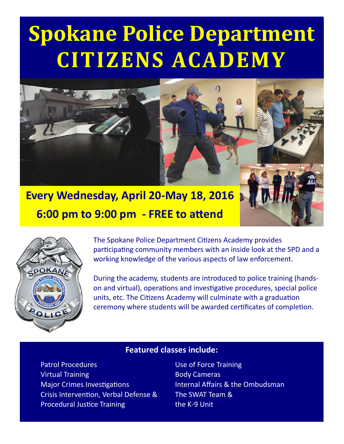# **Spokane Police Department CITIZENS ACADEMY**



**Every Wednesday, April 20-May 18, 2016 6:00 pm to 9:00 pm - FREE to attend**



The Spokane Police Department Citizens Academy provides participating community members with an inside look at the SPD and a working knowledge of the various aspects of law enforcement.

During the academy, students are introduced to police training (handson and virtual), operations and investigative procedures, special police units, etc. The Citizens Academy will culminate with a graduation ceremony where students will be awarded certificates of completion.

#### **Featured classes include:**

Patrol Procedures **National Executive Contract Contract Procedures** Use of Force Training Virtual Training **Body Cameras** Body Cameras Major Crimes Investigations **Internal Affairs & the Ombudsman** Crisis Intervention, Verbal Defense & Procedural Justice Training

The SWAT Team & the K-9 Unit